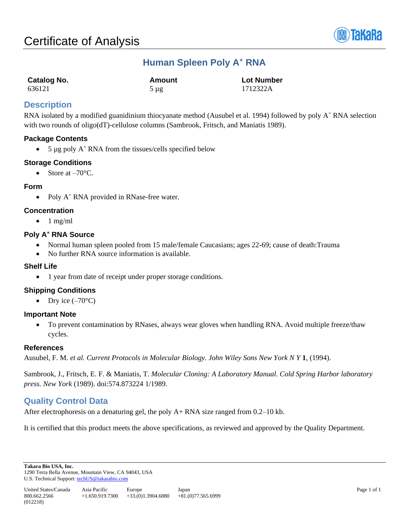

# **Human Spleen Poly A<sup>+</sup> RNA**

| Catalog No. | Amount    | <b>Lot Number</b> |
|-------------|-----------|-------------------|
| 636121      | $5 \mu$ g | 1712322A          |

# **Description**

RNA isolated by a modified guanidinium thiocyanate method (Ausubel et al. 1994) followed by poly A<sup>+</sup> RNA selection with two rounds of oligo(dT)-cellulose columns (Sambrook, Fritsch, and Maniatis 1989).

## **Package Contents**

• 5  $\mu$ g poly A<sup>+</sup> RNA from the tissues/cells specified below

### **Storage Conditions**

• Store at  $-70^{\circ}$ C.

#### **Form**

• Poly  $A^+$  RNA provided in RNase-free water.

## **Concentration**

 $\bullet$  1 mg/ml

### **Poly A<sup>+</sup> RNA Source**

- Normal human spleen pooled from 15 male/female Caucasians; ages 22-69; cause of death:Trauma
- No further RNA source information is available.

### **Shelf Life**

• 1 year from date of receipt under proper storage conditions.

## **Shipping Conditions**

• Dry ice  $(-70^{\circ}C)$ 

#### **Important Note**

• To prevent contamination by RNases, always wear gloves when handling RNA. Avoid multiple freeze/thaw cycles.

#### **References**

Ausubel, F. M. *et al. Current Protocols in Molecular Biology. John Wiley Sons New York N Y* **1**, (1994).

Sambrook, J., Fritsch, E. F. & Maniatis, T. *Molecular Cloning: A Laboratory Manual. Cold Spring Harbor laboratory press. New York* (1989). doi:574.873224 1/1989.

# **Quality Control Data**

After electrophoresis on a denaturing gel, the poly A+ RNA size ranged from 0.2–10 kb.

It is certified that this product meets the above specifications, as reviewed and approved by the Quality Department.